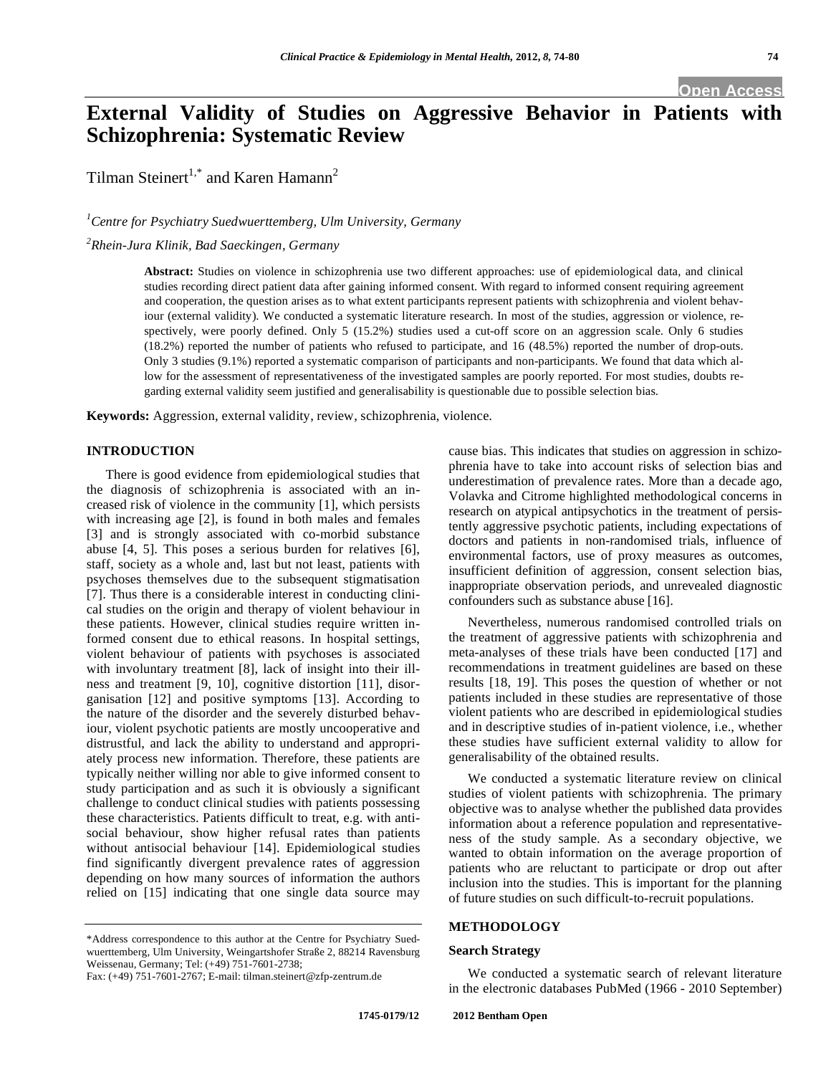**Open Access** 

# **External Validity of Studies on Aggressive Behavior in Patients with Schizophrenia: Systematic Review**

Tilman Steinert<sup>1,\*</sup> and Karen Hamann<sup>2</sup>

## *1 Centre for Psychiatry Suedwuerttemberg, Ulm University, Germany*

*2 Rhein-Jura Klinik, Bad Saeckingen, Germany* 

**Abstract:** Studies on violence in schizophrenia use two different approaches: use of epidemiological data, and clinical studies recording direct patient data after gaining informed consent. With regard to informed consent requiring agreement and cooperation, the question arises as to what extent participants represent patients with schizophrenia and violent behaviour (external validity). We conducted a systematic literature research. In most of the studies, aggression or violence, respectively, were poorly defined. Only 5 (15.2%) studies used a cut-off score on an aggression scale. Only 6 studies (18.2%) reported the number of patients who refused to participate, and 16 (48.5%) reported the number of drop-outs. Only 3 studies (9.1%) reported a systematic comparison of participants and non-participants. We found that data which allow for the assessment of representativeness of the investigated samples are poorly reported. For most studies, doubts regarding external validity seem justified and generalisability is questionable due to possible selection bias.

**Keywords:** Aggression, external validity, review, schizophrenia, violence.

## **INTRODUCTION**

There is good evidence from epidemiological studies that the diagnosis of schizophrenia is associated with an increased risk of violence in the community [1], which persists with increasing age [2], is found in both males and females [3] and is strongly associated with co-morbid substance abuse [4, 5]. This poses a serious burden for relatives [6], staff, society as a whole and, last but not least, patients with psychoses themselves due to the subsequent stigmatisation [7]. Thus there is a considerable interest in conducting clinical studies on the origin and therapy of violent behaviour in these patients. However, clinical studies require written informed consent due to ethical reasons. In hospital settings, violent behaviour of patients with psychoses is associated with involuntary treatment [8], lack of insight into their illness and treatment [9, 10], cognitive distortion [11], disorganisation [12] and positive symptoms [13]. According to the nature of the disorder and the severely disturbed behaviour, violent psychotic patients are mostly uncooperative and distrustful, and lack the ability to understand and appropriately process new information. Therefore, these patients are typically neither willing nor able to give informed consent to study participation and as such it is obviously a significant challenge to conduct clinical studies with patients possessing these characteristics. Patients difficult to treat, e.g. with antisocial behaviour, show higher refusal rates than patients without antisocial behaviour [14]. Epidemiological studies find significantly divergent prevalence rates of aggression depending on how many sources of information the authors relied on [15] indicating that one single data source may

\*Address correspondence to this author at the Centre for Psychiatry Suedwuerttemberg, Ulm University, Weingartshofer Straße 2, 88214 Ravensburg Weissenau, Germany; Tel: (+49) 751-7601-2738;

cause bias. This indicates that studies on aggression in schizophrenia have to take into account risks of selection bias and underestimation of prevalence rates. More than a decade ago, Volavka and Citrome highlighted methodological concerns in research on atypical antipsychotics in the treatment of persistently aggressive psychotic patients, including expectations of doctors and patients in non-randomised trials, influence of environmental factors, use of proxy measures as outcomes, insufficient definition of aggression, consent selection bias, inappropriate observation periods, and unrevealed diagnostic confounders such as substance abuse [16].

Nevertheless, numerous randomised controlled trials on the treatment of aggressive patients with schizophrenia and meta-analyses of these trials have been conducted [17] and recommendations in treatment guidelines are based on these results [18, 19]. This poses the question of whether or not patients included in these studies are representative of those violent patients who are described in epidemiological studies and in descriptive studies of in-patient violence, i.e., whether these studies have sufficient external validity to allow for generalisability of the obtained results.

We conducted a systematic literature review on clinical studies of violent patients with schizophrenia. The primary objective was to analyse whether the published data provides information about a reference population and representativeness of the study sample. As a secondary objective, we wanted to obtain information on the average proportion of patients who are reluctant to participate or drop out after inclusion into the studies. This is important for the planning of future studies on such difficult-to-recruit populations.

## **METHODOLOGY**

## **Search Strategy**

We conducted a systematic search of relevant literature in the electronic databases PubMed (1966 - 2010 September)

Fax: (+49) 751-7601-2767; E-mail: tilman.steinert@zfp-zentrum.de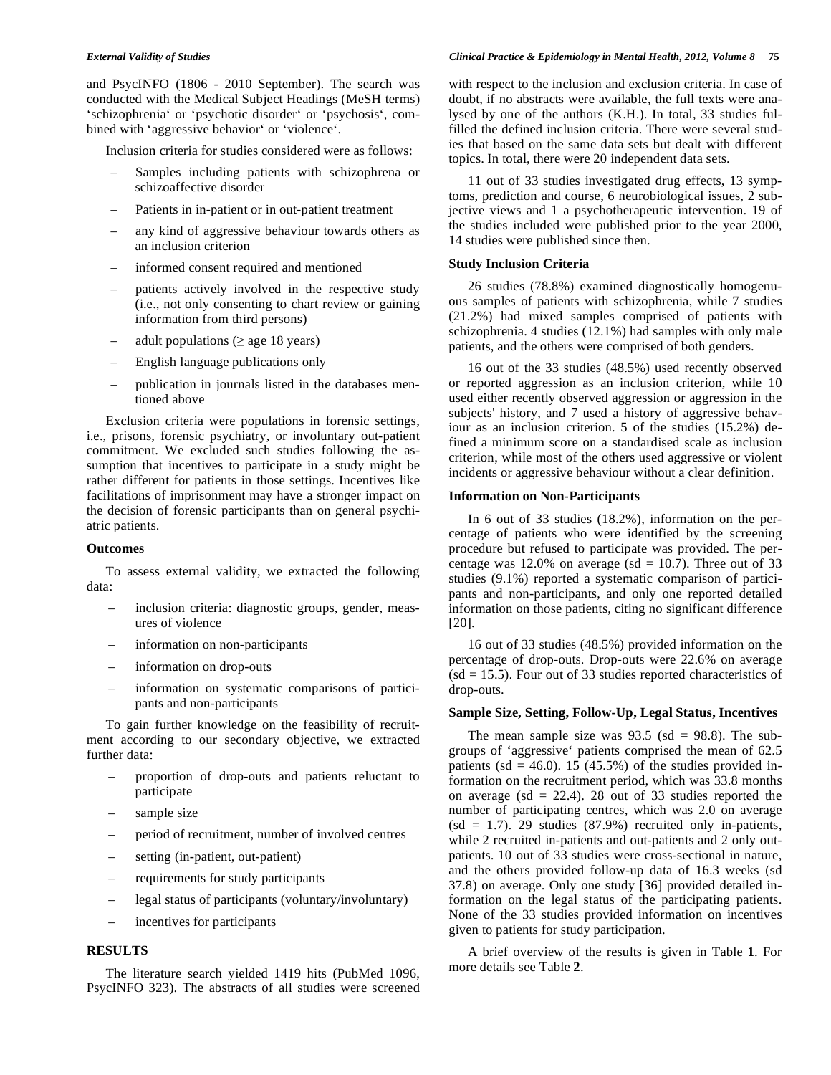and PsycINFO (1806 - 2010 September). The search was conducted with the Medical Subject Headings (MeSH terms) 'schizophrenia' or 'psychotic disorder' or 'psychosis', combined with 'aggressive behavior' or 'violence'.

Inclusion criteria for studies considered were as follows:

- Samples including patients with schizophrena or schizoaffective disorder
- Patients in in-patient or in out-patient treatment
- any kind of aggressive behaviour towards others as an inclusion criterion
- informed consent required and mentioned
- patients actively involved in the respective study (i.e., not only consenting to chart review or gaining information from third persons)
- adult populations ( $\geq$  age 18 years)
- English language publications only
- publication in journals listed in the databases mentioned above

Exclusion criteria were populations in forensic settings, i.e., prisons, forensic psychiatry, or involuntary out-patient commitment. We excluded such studies following the assumption that incentives to participate in a study might be rather different for patients in those settings. Incentives like facilitations of imprisonment may have a stronger impact on the decision of forensic participants than on general psychiatric patients.

#### **Outcomes**

To assess external validity, we extracted the following data:

- inclusion criteria: diagnostic groups, gender, measures of violence
- information on non-participants
- information on drop-outs
- information on systematic comparisons of participants and non-participants

To gain further knowledge on the feasibility of recruitment according to our secondary objective, we extracted further data:

- proportion of drop-outs and patients reluctant to participate
- sample size
- period of recruitment, number of involved centres
- setting (in-patient, out-patient)
- requirements for study participants
- legal status of participants (voluntary/involuntary)
- incentives for participants

## **RESULTS**

The literature search yielded 1419 hits (PubMed 1096, PsycINFO 323). The abstracts of all studies were screened with respect to the inclusion and exclusion criteria. In case of doubt, if no abstracts were available, the full texts were analysed by one of the authors (K.H.). In total, 33 studies fulfilled the defined inclusion criteria. There were several studies that based on the same data sets but dealt with different topics. In total, there were 20 independent data sets.

11 out of 33 studies investigated drug effects, 13 symptoms, prediction and course, 6 neurobiological issues, 2 subjective views and 1 a psychotherapeutic intervention. 19 of the studies included were published prior to the year 2000, 14 studies were published since then.

## **Study Inclusion Criteria**

26 studies (78.8%) examined diagnostically homogenuous samples of patients with schizophrenia, while 7 studies (21.2%) had mixed samples comprised of patients with schizophrenia. 4 studies (12.1%) had samples with only male patients, and the others were comprised of both genders.

16 out of the 33 studies (48.5%) used recently observed or reported aggression as an inclusion criterion, while 10 used either recently observed aggression or aggression in the subjects' history, and 7 used a history of aggressive behaviour as an inclusion criterion. 5 of the studies (15.2%) defined a minimum score on a standardised scale as inclusion criterion, while most of the others used aggressive or violent incidents or aggressive behaviour without a clear definition.

#### **Information on Non-Participants**

In 6 out of 33 studies (18.2%), information on the percentage of patients who were identified by the screening procedure but refused to participate was provided. The percentage was 12.0% on average (sd = 10.7). Three out of 33 studies (9.1%) reported a systematic comparison of participants and non-participants, and only one reported detailed information on those patients, citing no significant difference [20].

16 out of 33 studies (48.5%) provided information on the percentage of drop-outs. Drop-outs were 22.6% on average  $(sd = 15.5)$ . Four out of 33 studies reported characteristics of drop-outs.

## **Sample Size, Setting, Follow-Up, Legal Status, Incentives**

The mean sample size was  $93.5$  (sd = 98.8). The subgroups of 'aggressive' patients comprised the mean of 62.5 patients (sd = 46.0). 15 (45.5%) of the studies provided information on the recruitment period, which was 33.8 months on average (sd  $= 22.4$ ). 28 out of 33 studies reported the number of participating centres, which was 2.0 on average  $(sd = 1.7)$ . 29 studies  $(87.9%)$  recruited only in-patients, while 2 recruited in-patients and out-patients and 2 only outpatients. 10 out of 33 studies were cross-sectional in nature, and the others provided follow-up data of 16.3 weeks (sd 37.8) on average. Only one study [36] provided detailed information on the legal status of the participating patients. None of the 33 studies provided information on incentives given to patients for study participation.

A brief overview of the results is given in Table **1**. For more details see Table **2**.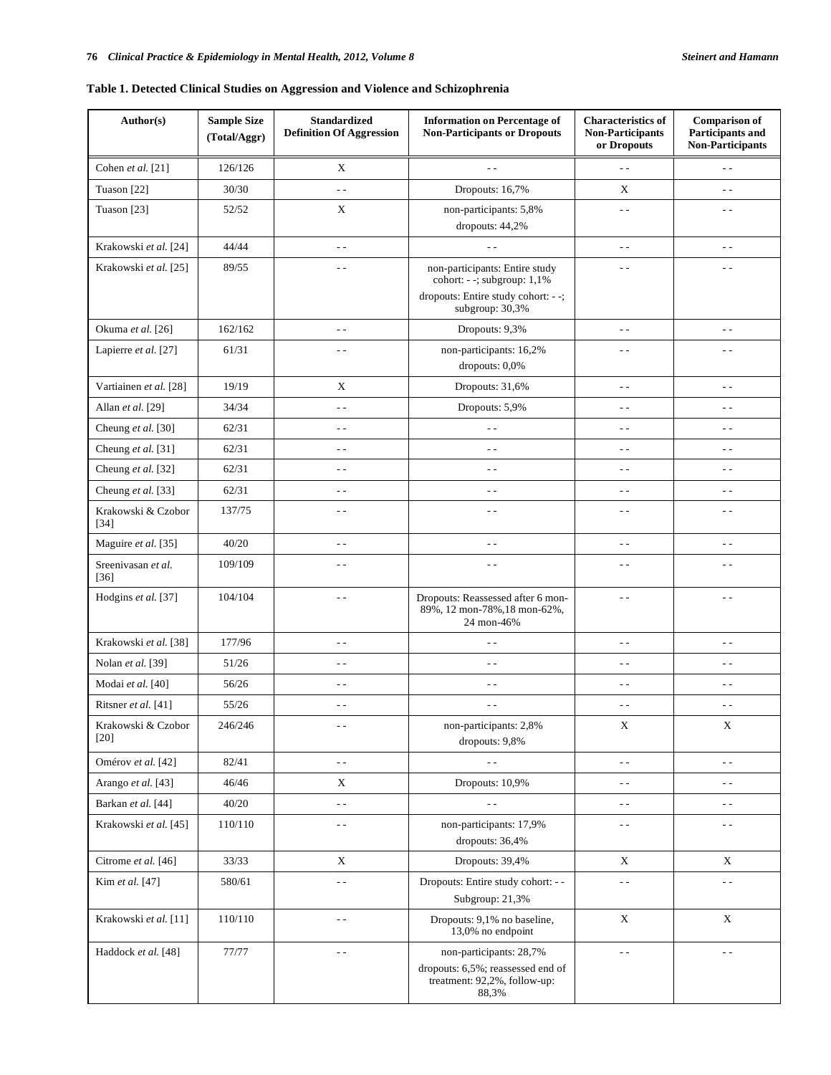## **Table 1. Detected Clinical Studies on Aggression and Violence and Schizophrenia**

| Author(s)                    | <b>Sample Size</b><br>(Total/Aggr) | <b>Standardized</b><br><b>Definition Of Aggression</b> | <b>Information on Percentage of</b><br><b>Non-Participants or Dropouts</b>                                             | <b>Characteristics of</b><br><b>Non-Participants</b><br>or Dropouts | <b>Comparison of</b><br><b>Participants and</b><br><b>Non-Participants</b> |
|------------------------------|------------------------------------|--------------------------------------------------------|------------------------------------------------------------------------------------------------------------------------|---------------------------------------------------------------------|----------------------------------------------------------------------------|
| Cohen et al. [21]            | 126/126                            | X                                                      |                                                                                                                        | $-$                                                                 | $\sim$ $\sim$                                                              |
| Tuason [22]                  | 30/30                              | $\overline{a}$                                         | Dropouts: 16,7%                                                                                                        | X                                                                   | $-$                                                                        |
| Tuason [23]                  | 52/52                              | $\mathbf X$                                            | non-participants: 5,8%<br>dropouts: 44,2%                                                                              | $ -$                                                                | $ -$                                                                       |
| Krakowski et al. [24]        | 44/44                              | $\sim$ $-$                                             |                                                                                                                        | $ -$                                                                | $ -$                                                                       |
| Krakowski et al. [25]        | 89/55                              | $\sim$ $\sim$                                          | non-participants: Entire study<br>cohort: - -; subgroup: 1,1%<br>dropouts: Entire study cohort: --;<br>subgroup: 30,3% | $ -$                                                                | $ -$                                                                       |
| Okuma et al. [26]            | 162/162                            | $\sim$ $\sim$                                          | Dropouts: 9,3%                                                                                                         | $\sim$ $\sim$                                                       | $ -$                                                                       |
| Lapierre et al. [27]         | 61/31                              | $\sim$ $\sim$                                          | non-participants: 16,2%<br>dropouts: 0,0%                                                                              | $ -$                                                                | $\overline{a}$                                                             |
| Vartiainen et al. [28]       | 19/19                              | $\mathbf X$                                            | Dropouts: 31,6%                                                                                                        | $\sim$ $\sim$                                                       | $\overline{a}$                                                             |
| Allan et al. [29]            | 34/34                              | $\overline{a}$                                         | Dropouts: 5,9%                                                                                                         | - -                                                                 | $ -$                                                                       |
| Cheung et al. [30]           | 62/31                              | $\overline{a}$                                         | $ -$                                                                                                                   | - -                                                                 | $ -$                                                                       |
| Cheung et al. [31]           | 62/31                              | $\sim$ $-$                                             | $ -$                                                                                                                   | $\sim$ $\sim$                                                       | $ -$                                                                       |
| Cheung et al. [32]           | 62/31                              | $\overline{a}$                                         | $\sim$ $\sim$                                                                                                          | $ -$                                                                | $\overline{a}$                                                             |
| Cheung et al. [33]           | 62/31                              | $-$                                                    | $-$                                                                                                                    | $-$                                                                 | $ -$                                                                       |
| Krakowski & Czobor<br>$[34]$ | 137/75                             | $\sim$ $-$                                             | $\sim$ $\sim$                                                                                                          | $ -$                                                                | $\sim$ $-$                                                                 |
| Maguire et al. [35]          | 40/20                              | $\sim$ $-$                                             | $\sim$ $\sim$                                                                                                          | $\sim$ $\sim$                                                       | $\sim$ $\sim$                                                              |
| Sreenivasan et al.<br>$[36]$ | 109/109                            | $ -$                                                   | $ -$                                                                                                                   | $\sim$ $\sim$                                                       | $\sim$ $\sim$                                                              |
| Hodgins et al. [37]          | 104/104                            | $ -$                                                   | Dropouts: Reassessed after 6 mon-<br>89%, 12 mon-78%, 18 mon-62%,<br>24 mon-46%                                        | $ -$                                                                | $ -$                                                                       |
| Krakowski et al. [38]        | 177/96                             | $ -$                                                   | $\sim$ $\sim$                                                                                                          | $\sim$ $\sim$                                                       | $ -$                                                                       |
| Nolan et al. [39]            | 51/26                              | $\sim$ $-$                                             | $\sim$ $\sim$                                                                                                          | $-$                                                                 | $ -$                                                                       |
| Modai et al. [40]            | 56/26                              | $\sim$ $\sim$                                          | $\sim$ $-$                                                                                                             | $ -$                                                                | $\overline{a}$                                                             |
| Ritsner et al. [41]          | 55/26                              | $\sim$ $-$                                             | $ -$                                                                                                                   | $ -$                                                                | $\overline{a}$                                                             |
| Krakowski & Czobor<br>[20]   | 246/246                            | - -                                                    | non-participants: 2,8%<br>dropouts: 9,8%                                                                               | $\mathbf X$                                                         | $\mathbf X$                                                                |
| Omérov et al. [42]           | 82/41                              | $\overline{a}$                                         | $\sim$ $\sim$                                                                                                          | $\overline{a}$                                                      | $\overline{a}$                                                             |
| Arango et al. [43]           | 46/46                              | X                                                      | Dropouts: 10,9%                                                                                                        | $ -$                                                                | $ -$                                                                       |
| Barkan et al. [44]           | 40/20                              | $\overline{a}$                                         | $\overline{a}$                                                                                                         | $ -$                                                                | $ -$                                                                       |
| Krakowski et al. [45]        | 110/110                            | $\overline{\phantom{a}}$                               | non-participants: 17,9%<br>dropouts: 36,4%                                                                             | - -                                                                 | $ -$                                                                       |
| Citrome et al. [46]          | 33/33                              | $\mathbf X$                                            | Dropouts: 39,4%                                                                                                        | X                                                                   | X                                                                          |
| Kim et al. [47]              | 580/61                             | $\sim$ $\sim$                                          | Dropouts: Entire study cohort: - -<br>Subgroup: 21,3%                                                                  | $ -$                                                                | $\sim$ $-$                                                                 |
| Krakowski et al. [11]        | 110/110                            | $\sim$ $-$                                             | Dropouts: 9,1% no baseline,<br>13,0% no endpoint                                                                       | $\mathbf X$                                                         | $\mathbf X$                                                                |
| Haddock et al. [48]          | 77/77                              | $\sim$ $\sim$                                          | non-participants: 28,7%<br>dropouts: 6,5%; reassessed end of<br>treatment: 92,2%, follow-up:<br>88,3%                  | $\sim$ $\sim$                                                       | $\sim$ $\sim$                                                              |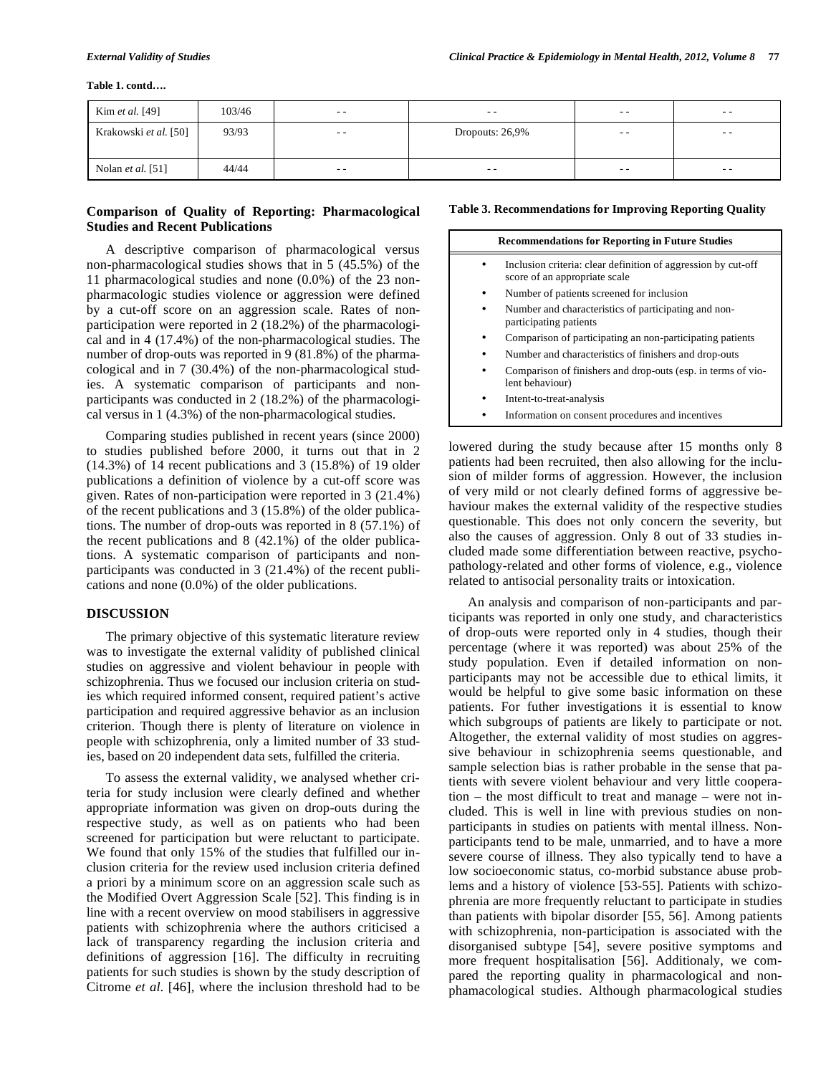#### **Table 1. contd….**

| Kim et al. [49]          | 103/46 | $- -$      | $- -$           | $- -$ | $- -$ |
|--------------------------|--------|------------|-----------------|-------|-------|
| Krakowski et al. [50]    | 93/93  | $\sim$ $-$ | Dropouts: 26,9% | $- -$ | $- -$ |
|                          |        |            |                 |       |       |
| Nolan <i>et al.</i> [51] | 44/44  | $- -$      | $- -$           | $- -$ | $- -$ |

## **Comparison of Quality of Reporting: Pharmacological Studies and Recent Publications**

A descriptive comparison of pharmacological versus non-pharmacological studies shows that in 5 (45.5%) of the 11 pharmacological studies and none (0.0%) of the 23 nonpharmacologic studies violence or aggression were defined by a cut-off score on an aggression scale. Rates of nonparticipation were reported in 2 (18.2%) of the pharmacological and in 4 (17.4%) of the non-pharmacological studies. The number of drop-outs was reported in 9 (81.8%) of the pharmacological and in 7 (30.4%) of the non-pharmacological studies. A systematic comparison of participants and nonparticipants was conducted in 2 (18.2%) of the pharmacological versus in 1 (4.3%) of the non-pharmacological studies.

Comparing studies published in recent years (since 2000) to studies published before 2000, it turns out that in 2  $(14.3\%)$  of 14 recent publications and 3  $(15.8\%)$  of 19 older publications a definition of violence by a cut-off score was given. Rates of non-participation were reported in 3 (21.4%) of the recent publications and 3 (15.8%) of the older publications. The number of drop-outs was reported in 8 (57.1%) of the recent publications and 8 (42.1%) of the older publications. A systematic comparison of participants and nonparticipants was conducted in 3 (21.4%) of the recent publications and none (0.0%) of the older publications.

## **DISCUSSION**

The primary objective of this systematic literature review was to investigate the external validity of published clinical studies on aggressive and violent behaviour in people with schizophrenia. Thus we focused our inclusion criteria on studies which required informed consent, required patient's active participation and required aggressive behavior as an inclusion criterion. Though there is plenty of literature on violence in people with schizophrenia, only a limited number of 33 studies, based on 20 independent data sets, fulfilled the criteria.

To assess the external validity, we analysed whether criteria for study inclusion were clearly defined and whether appropriate information was given on drop-outs during the respective study, as well as on patients who had been screened for participation but were reluctant to participate. We found that only 15% of the studies that fulfilled our inclusion criteria for the review used inclusion criteria defined a priori by a minimum score on an aggression scale such as the Modified Overt Aggression Scale [52]. This finding is in line with a recent overview on mood stabilisers in aggressive patients with schizophrenia where the authors criticised a lack of transparency regarding the inclusion criteria and definitions of aggression [16]. The difficulty in recruiting patients for such studies is shown by the study description of Citrome *et al.* [46], where the inclusion threshold had to be

### **Table 3. Recommendations for Improving Reporting Quality**

| <b>Recommendations for Reporting in Future Studies</b> |                                                                                                |  |  |  |
|--------------------------------------------------------|------------------------------------------------------------------------------------------------|--|--|--|
|                                                        | Inclusion criteria: clear definition of aggression by cut-off<br>score of an appropriate scale |  |  |  |
|                                                        | Number of patients screened for inclusion                                                      |  |  |  |
|                                                        | Number and characteristics of participating and non-<br>participating patients                 |  |  |  |
|                                                        | Comparison of participating an non-participating patients                                      |  |  |  |
|                                                        | Number and characteristics of finishers and drop-outs                                          |  |  |  |
|                                                        | Comparison of finishers and drop-outs (esp. in terms of vio-<br>lent behaviour)                |  |  |  |
|                                                        | Intent-to-treat-analysis                                                                       |  |  |  |
|                                                        | Information on consent procedures and incentives                                               |  |  |  |

lowered during the study because after 15 months only 8 patients had been recruited, then also allowing for the inclusion of milder forms of aggression. However, the inclusion of very mild or not clearly defined forms of aggressive behaviour makes the external validity of the respective studies questionable. This does not only concern the severity, but also the causes of aggression. Only 8 out of 33 studies included made some differentiation between reactive, psychopathology-related and other forms of violence, e.g., violence related to antisocial personality traits or intoxication.

An analysis and comparison of non-participants and participants was reported in only one study, and characteristics of drop-outs were reported only in 4 studies, though their percentage (where it was reported) was about 25% of the study population. Even if detailed information on nonparticipants may not be accessible due to ethical limits, it would be helpful to give some basic information on these patients. For futher investigations it is essential to know which subgroups of patients are likely to participate or not. Altogether, the external validity of most studies on aggressive behaviour in schizophrenia seems questionable, and sample selection bias is rather probable in the sense that patients with severe violent behaviour and very little cooperation – the most difficult to treat and manage – were not included. This is well in line with previous studies on nonparticipants in studies on patients with mental illness. Nonparticipants tend to be male, unmarried, and to have a more severe course of illness. They also typically tend to have a low socioeconomic status, co-morbid substance abuse problems and a history of violence [53-55]. Patients with schizophrenia are more frequently reluctant to participate in studies than patients with bipolar disorder [55, 56]. Among patients with schizophrenia, non-participation is associated with the disorganised subtype [54], severe positive symptoms and more frequent hospitalisation [56]. Additionaly, we compared the reporting quality in pharmacological and nonphamacological studies. Although pharmacological studies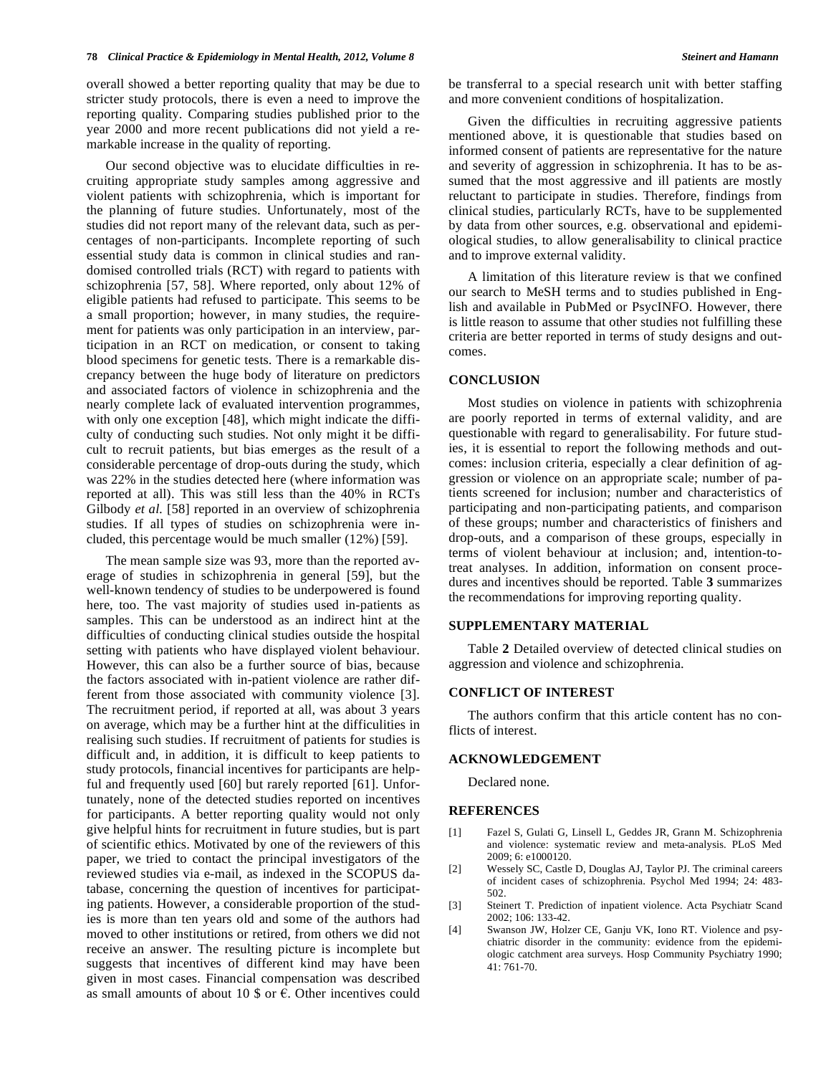overall showed a better reporting quality that may be due to stricter study protocols, there is even a need to improve the reporting quality. Comparing studies published prior to the year 2000 and more recent publications did not yield a remarkable increase in the quality of reporting.

Our second objective was to elucidate difficulties in recruiting appropriate study samples among aggressive and violent patients with schizophrenia, which is important for the planning of future studies. Unfortunately, most of the studies did not report many of the relevant data, such as percentages of non-participants. Incomplete reporting of such essential study data is common in clinical studies and randomised controlled trials (RCT) with regard to patients with schizophrenia [57, 58]. Where reported, only about 12% of eligible patients had refused to participate. This seems to be a small proportion; however, in many studies, the requirement for patients was only participation in an interview, participation in an RCT on medication, or consent to taking blood specimens for genetic tests. There is a remarkable discrepancy between the huge body of literature on predictors and associated factors of violence in schizophrenia and the nearly complete lack of evaluated intervention programmes, with only one exception [48], which might indicate the difficulty of conducting such studies. Not only might it be difficult to recruit patients, but bias emerges as the result of a considerable percentage of drop-outs during the study, which was 22% in the studies detected here (where information was reported at all). This was still less than the 40% in RCTs Gilbody *et al.* [58] reported in an overview of schizophrenia studies. If all types of studies on schizophrenia were included, this percentage would be much smaller (12%) [59].

The mean sample size was 93, more than the reported average of studies in schizophrenia in general [59], but the well-known tendency of studies to be underpowered is found here, too. The vast majority of studies used in-patients as samples. This can be understood as an indirect hint at the difficulties of conducting clinical studies outside the hospital setting with patients who have displayed violent behaviour. However, this can also be a further source of bias, because the factors associated with in-patient violence are rather different from those associated with community violence [3]. The recruitment period, if reported at all, was about 3 years on average, which may be a further hint at the difficulities in realising such studies. If recruitment of patients for studies is difficult and, in addition, it is difficult to keep patients to study protocols, financial incentives for participants are helpful and frequently used [60] but rarely reported [61]. Unfortunately, none of the detected studies reported on incentives for participants. A better reporting quality would not only give helpful hints for recruitment in future studies, but is part of scientific ethics. Motivated by one of the reviewers of this paper, we tried to contact the principal investigators of the reviewed studies via e-mail, as indexed in the SCOPUS database, concerning the question of incentives for participating patients. However, a considerable proportion of the studies is more than ten years old and some of the authors had moved to other institutions or retired, from others we did not receive an answer. The resulting picture is incomplete but suggests that incentives of different kind may have been given in most cases. Financial compensation was described as small amounts of about 10 \$ or  $\vec{\epsilon}$ . Other incentives could

be transferral to a special research unit with better staffing and more convenient conditions of hospitalization.

Given the difficulties in recruiting aggressive patients mentioned above, it is questionable that studies based on informed consent of patients are representative for the nature and severity of aggression in schizophrenia. It has to be assumed that the most aggressive and ill patients are mostly reluctant to participate in studies. Therefore, findings from clinical studies, particularly RCTs, have to be supplemented by data from other sources, e.g. observational and epidemiological studies, to allow generalisability to clinical practice and to improve external validity.

A limitation of this literature review is that we confined our search to MeSH terms and to studies published in English and available in PubMed or PsycINFO. However, there is little reason to assume that other studies not fulfilling these criteria are better reported in terms of study designs and outcomes.

## **CONCLUSION**

Most studies on violence in patients with schizophrenia are poorly reported in terms of external validity, and are questionable with regard to generalisability. For future studies, it is essential to report the following methods and outcomes: inclusion criteria, especially a clear definition of aggression or violence on an appropriate scale; number of patients screened for inclusion; number and characteristics of participating and non-participating patients, and comparison of these groups; number and characteristics of finishers and drop-outs, and a comparison of these groups, especially in terms of violent behaviour at inclusion; and, intention-totreat analyses. In addition, information on consent procedures and incentives should be reported. Table **3** summarizes the recommendations for improving reporting quality.

## **SUPPLEMENTARY MATERIAL**

Table **2** Detailed overview of detected clinical studies on aggression and violence and schizophrenia.

## **CONFLICT OF INTEREST**

The authors confirm that this article content has no conflicts of interest.

#### **ACKNOWLEDGEMENT**

Declared none.

## **REFERENCES**

- [1] Fazel S, Gulati G, Linsell L, Geddes JR, Grann M. Schizophrenia and violence: systematic review and meta-analysis. PLoS Med 2009; 6: e1000120.
- [2] Wessely SC, Castle D, Douglas AJ, Taylor PJ. The criminal careers of incident cases of schizophrenia. Psychol Med 1994; 24: 483- 502.
- [3] Steinert T. Prediction of inpatient violence. Acta Psychiatr Scand 2002; 106: 133-42.
- [4] Swanson JW, Holzer CE, Ganju VK, Iono RT. Violence and psychiatric disorder in the community: evidence from the epidemiologic catchment area surveys. Hosp Community Psychiatry 1990; 41: 761-70.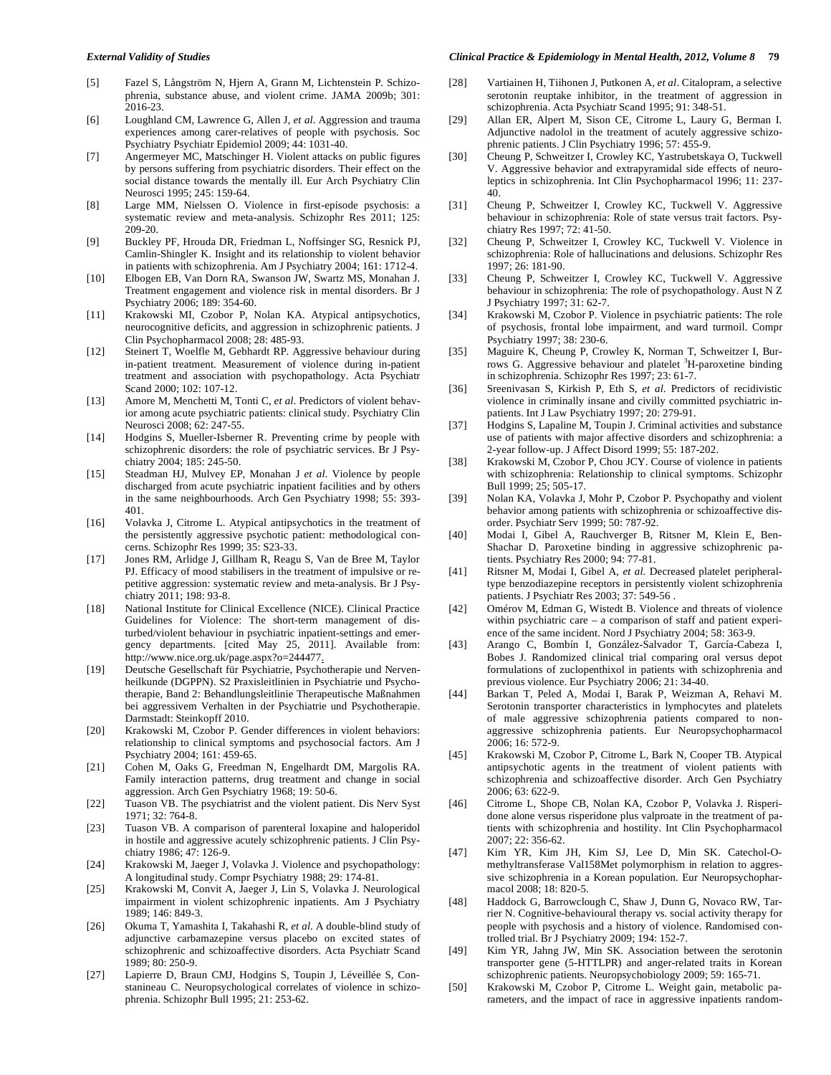- [5] Fazel S, Långström N, Hjern A, Grann M, Lichtenstein P. Schizophrenia, substance abuse, and violent crime. JAMA 2009b; 301: 2016-23.
- [6] Loughland CM, Lawrence G, Allen J, *et al*. Aggression and trauma experiences among carer-relatives of people with psychosis. Soc Psychiatry Psychiatr Epidemiol 2009; 44: 1031-40.
- [7] Angermeyer MC, Matschinger H. Violent attacks on public figures by persons suffering from psychiatric disorders. Their effect on the social distance towards the mentally ill. Eur Arch Psychiatry Clin Neurosci 1995; 245: 159-64.
- [8] Large MM, Nielssen O. Violence in first-episode psychosis: a systematic review and meta-analysis. Schizophr Res 2011; 125: 209-20.
- [9] Buckley PF, Hrouda DR, Friedman L, Noffsinger SG, Resnick PJ, Camlin-Shingler K. Insight and its relationship to violent behavior in patients with schizophrenia. Am J Psychiatry 2004; 161: 1712-4.
- [10] Elbogen EB, Van Dorn RA, Swanson JW, Swartz MS, Monahan J. Treatment engagement and violence risk in mental disorders. Br J Psychiatry 2006; 189: 354-60.
- [11] Krakowski MI, Czobor P, Nolan KA. Atypical antipsychotics, neurocognitive deficits, and aggression in schizophrenic patients. J Clin Psychopharmacol 2008; 28: 485-93.
- [12] Steinert T, Woelfle M, Gebhardt RP. Aggressive behaviour during in-patient treatment. Measurement of violence during in-patient treatment and association with psychopathology. Acta Psychiatr Scand 2000; 102: 107-12.
- [13] Amore M, Menchetti M, Tonti C, *et al*. Predictors of violent behavior among acute psychiatric patients: clinical study. Psychiatry Clin Neurosci 2008; 62: 247-55.
- [14] Hodgins S, Mueller-Isberner R. Preventing crime by people with schizophrenic disorders: the role of psychiatric services. Br J Psychiatry 2004; 185: 245-50.
- [15] Steadman HJ, Mulvey EP, Monahan J *et al*. Violence by people discharged from acute psychiatric inpatient facilities and by others in the same neighbourhoods. Arch Gen Psychiatry 1998; 55: 393- 401.
- [16] Volavka J, Citrome L. Atypical antipsychotics in the treatment of the persistently aggressive psychotic patient: methodological concerns. Schizophr Res 1999; 35: S23-33.
- [17] Jones RM, Arlidge J, Gillham R, Reagu S, Van de Bree M, Taylor PJ. Efficacy of mood stabilisers in the treatment of impulsive or repetitive aggression: systematic review and meta-analysis. Br J Psychiatry 2011; 198: 93-8.
- [18] National Institute for Clinical Excellence (NICE). Clinical Practice Guidelines for Violence: The short-term management of disturbed/violent behaviour in psychiatric inpatient-settings and emergency departments. [cited May 25, 2011]. Available from: http://www.nice.org.uk/page.aspx?o=244477.
- [19] Deutsche Gesellschaft für Psychiatrie, Psychotherapie und Nervenheilkunde (DGPPN). S2 Praxisleitlinien in Psychiatrie und Psychotherapie, Band 2: Behandlungsleitlinie Therapeutische Maßnahmen bei aggressivem Verhalten in der Psychiatrie und Psychotherapie. Darmstadt: Steinkopff 2010.
- [20] Krakowski M, Czobor P. Gender differences in violent behaviors: relationship to clinical symptoms and psychosocial factors. Am J Psychiatry 2004; 161: 459-65.
- [21] Cohen M, Oaks G, Freedman N, Engelhardt DM, Margolis RA. Family interaction patterns, drug treatment and change in social aggression. Arch Gen Psychiatry 1968; 19: 50-6.
- [22] Tuason VB. The psychiatrist and the violent patient. Dis Nerv Syst 1971; 32: 764-8.
- [23] Tuason VB. A comparison of parenteral loxapine and haloperidol in hostile and aggressive acutely schizophrenic patients. J Clin Psychiatry 1986; 47: 126-9.
- [24] Krakowski M, Jaeger J, Volavka J. Violence and psychopathology: A longitudinal study. Compr Psychiatry 1988; 29: 174-81.
- [25] Krakowski M, Convit A, Jaeger J, Lin S, Volavka J. Neurological impairment in violent schizophrenic inpatients. Am J Psychiatry 1989; 146: 849-3.
- [26] Okuma T, Yamashita I, Takahashi R, *et al*. A double-blind study of adjunctive carbamazepine versus placebo on excited states of schizophrenic and schizoaffective disorders. Acta Psychiatr Scand 1989; 80: 250-9.
- [27] Lapierre D, Braun CMJ, Hodgins S, Toupin J, Léveillée S, Constanineau C. Neuropsychological correlates of violence in schizophrenia. Schizophr Bull 1995; 21: 253-62.
- [28] Vartiainen H, Tiihonen J, Putkonen A, *et al*. Citalopram, a selective serotonin reuptake inhibitor, in the treatment of aggression in schizophrenia. Acta Psychiatr Scand 1995; 91: 348-51.
- [29] Allan ER, Alpert M, Sison CE, Citrome L, Laury G, Berman I. Adjunctive nadolol in the treatment of acutely aggressive schizophrenic patients. J Clin Psychiatry 1996; 57: 455-9.
- [30] Cheung P, Schweitzer I, Crowley KC, Yastrubetskaya O, Tuckwell V. Aggressive behavior and extrapyramidal side effects of neuroleptics in schizophrenia. Int Clin Psychopharmacol 1996; 11: 237- 40.
- [31] Cheung P, Schweitzer I, Crowley KC, Tuckwell V. Aggressive behaviour in schizophrenia: Role of state versus trait factors. Psychiatry Res 1997; 72: 41-50.
- [32] Cheung P, Schweitzer I, Crowley KC, Tuckwell V. Violence in schizophrenia: Role of hallucinations and delusions. Schizophr Res 1997; 26: 181-90.
- [33] Cheung P, Schweitzer I, Crowley KC, Tuckwell V. Aggressive behaviour in schizophrenia: The role of psychopathology. Aust N Z J Psychiatry 1997; 31: 62-7.
- [34] Krakowski M, Czobor P. Violence in psychiatric patients: The role of psychosis, frontal lobe impairment, and ward turmoil. Compr Psychiatry 1997; 38: 230-6.
- [35] Maguire K, Cheung P, Crowley K, Norman T, Schweitzer I, Burrows G. Aggressive behaviour and platelet <sup>3</sup>H-paroxetine binding in schizophrenia. Schizophr Res 1997; 23: 61-7.
- [36] Sreenivasan S, Kirkish P, Eth S, *et al*. Predictors of recidivistic violence in criminally insane and civilly committed psychiatric inpatients. Int J Law Psychiatry 1997; 20: 279-91.
- [37] Hodgins S, Lapaline M, Toupin J. Criminal activities and substance use of patients with major affective disorders and schizophrenia: a 2-year follow-up. J Affect Disord 1999; 55: 187-202.
- [38] Krakowski M, Czobor P, Chou JCY. Course of violence in patients with schizophrenia: Relationship to clinical symptoms. Schizophr Bull 1999; 25; 505-17.
- [39] Nolan KA, Volavka J, Mohr P, Czobor P. Psychopathy and violent behavior among patients with schizophrenia or schizoaffective disorder. Psychiatr Serv 1999; 50: 787-92.
- [40] Modai I, Gibel A, Rauchverger B, Ritsner M, Klein E, Ben-Shachar D. Paroxetine binding in aggressive schizophrenic patients. Psychiatry Res 2000; 94: 77-81.
- [41] Ritsner M, Modai I, Gibel A, *et al*. Decreased platelet peripheraltype benzodiazepine receptors in persistently violent schizophrenia patients. J Psychiatr Res 2003; 37: 549-56 .
- [42] Omérov M, Edman G, Wistedt B. Violence and threats of violence within psychiatric care – a comparison of staff and patient experience of the same incident. Nord J Psychiatry 2004; 58: 363-9.
- [43] Arango C, Bombín I, González-Salvador T, García-Cabeza I, Bobes J. Randomized clinical trial comparing oral versus depot formulations of zuclopenthixol in patients with schizophrenia and previous violence. Eur Psychiatry 2006; 21: 34-40.
- [44] Barkan T, Peled A, Modai I, Barak P, Weizman A, Rehavi M. Serotonin transporter characteristics in lymphocytes and platelets of male aggressive schizophrenia patients compared to nonaggressive schizophrenia patients. Eur Neuropsychopharmacol 2006; 16: 572-9.
- [45] Krakowski M, Czobor P, Citrome L, Bark N, Cooper TB. Atypical antipsychotic agents in the treatment of violent patients with schizophrenia and schizoaffective disorder. Arch Gen Psychiatry 2006; 63: 622-9.
- [46] Citrome L, Shope CB, Nolan KA, Czobor P, Volavka J. Risperidone alone versus risperidone plus valproate in the treatment of patients with schizophrenia and hostility. Int Clin Psychopharmacol 2007; 22: 356-62.
- [47] Kim YR, Kim JH, Kim SJ, Lee D, Min SK. Catechol-Omethyltransferase Val158Met polymorphism in relation to aggressive schizophrenia in a Korean population. Eur Neuropsychopharmacol 2008; 18: 820-5.
- [48] Haddock G, Barrowclough C, Shaw J, Dunn G, Novaco RW, Tarrier N. Cognitive-behavioural therapy vs. social activity therapy for people with psychosis and a history of violence. Randomised controlled trial. Br J Psychiatry 2009; 194: 152-7.
- [49] Kim YR, Jahng JW, Min SK. Association between the serotonin transporter gene (5-HTTLPR) and anger-related traits in Korean schizophrenic patients. Neuropsychobiology 2009; 59: 165-71.
- [50] Krakowski M, Czobor P, Citrome L. Weight gain, metabolic parameters, and the impact of race in aggressive inpatients random-